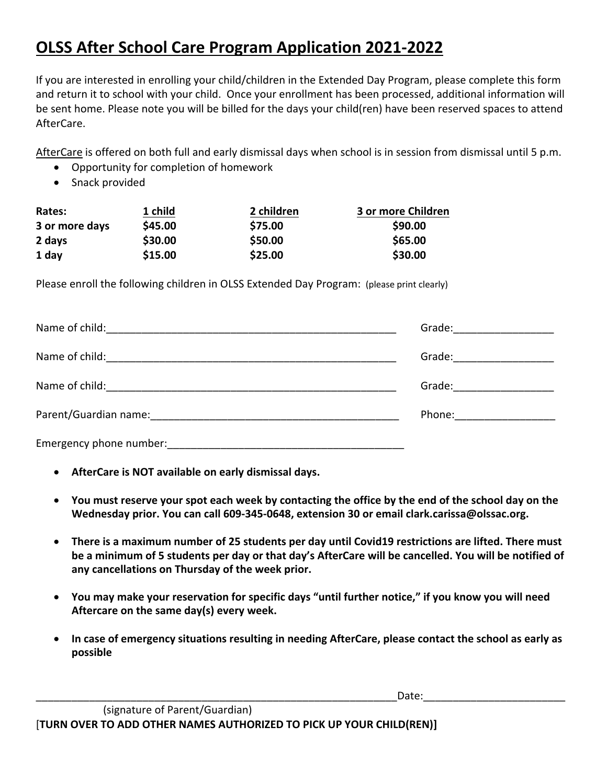## **OLSS After School Care Program Application 2021-2022**

If you are interested in enrolling your child/children in the Extended Day Program, please complete this form and return it to school with your child. Once your enrollment has been processed, additional information will be sent home. Please note you will be billed for the days your child(ren) have been reserved spaces to attend AfterCare.

AfterCare is offered on both full and early dismissal days when school is in session from dismissal until 5 p.m.

- Opportunity for completion of homework
- Snack provided

| Rates:         | 1 child | 2 children | 3 or more Children |
|----------------|---------|------------|--------------------|
| 3 or more days | \$45.00 | \$75.00    | \$90.00            |
| 2 days         | \$30.00 | \$50.00    | \$65.00            |
| 1 day          | \$15.00 | \$25.00    | \$30.00            |

Please enroll the following children in OLSS Extended Day Program: (please print clearly)

| Name of child:                                                              | Grade: <u>___________</u>                                                                                                                                                                                                      |
|-----------------------------------------------------------------------------|--------------------------------------------------------------------------------------------------------------------------------------------------------------------------------------------------------------------------------|
| Name of child:<br><u> 1989 - John Stein, Amerikaansk politiker († 1989)</u> | Grade:                                                                                                                                                                                                                         |
|                                                                             | Grade: The Contract of the Contract of the Contract of the Contract of the Contract of the Contract of the Contract of the Contract of the Contract of the Contract of the Contract of the Contract of the Contract of the Con |
|                                                                             | Phone: ______________                                                                                                                                                                                                          |
| Emergency phone number:                                                     |                                                                                                                                                                                                                                |

- **AfterCare is NOT available on early dismissal days.**
- **You must reserve your spot each week by contacting the office by the end of the school day on the Wednesday prior. You can call 609-345-0648, extension 30 or email clark.carissa@olssac.org.**
- **There is a maximum number of 25 students per day until Covid19 restrictions are lifted. There must be a minimum of 5 students per day or that day's AfterCare will be cancelled. You will be notified of any cancellations on Thursday of the week prior.**
- **You may make your reservation for specific days "until further notice," if you know you will need Aftercare on the same day(s) every week.**
- **In case of emergency situations resulting in needing AfterCare, please contact the school as early as possible**

\_\_\_\_\_\_\_\_\_\_\_\_\_\_\_\_\_\_\_\_\_\_\_\_\_\_\_\_\_\_\_\_\_\_\_\_\_\_\_\_\_\_\_\_\_\_\_\_\_\_\_\_\_\_\_\_\_\_\_\_\_Date:\_\_\_\_\_\_\_\_\_\_\_\_\_\_\_\_\_\_\_\_\_\_\_\_